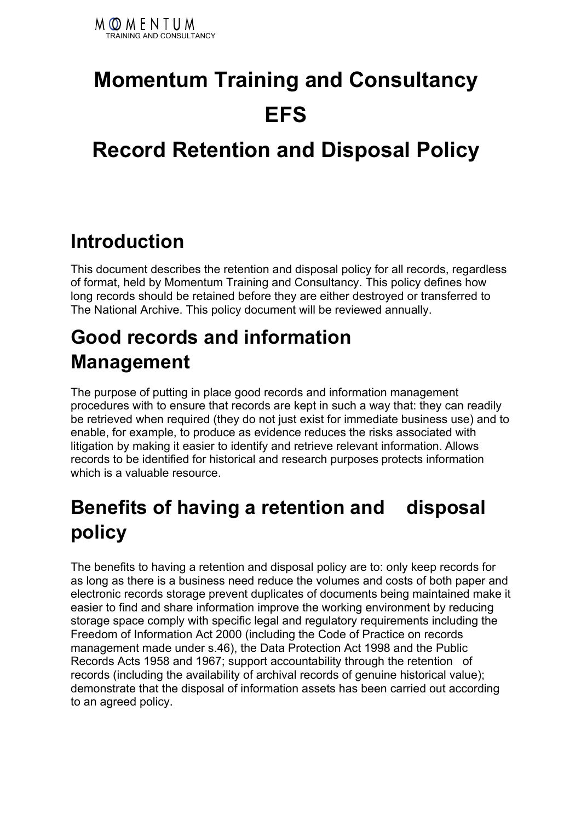

# **Momentum Training and Consultancy EFS**

### **Record Retention and Disposal Policy**

#### **Introduction**

This document describes the retention and disposal policy for all records, regardless of format, held by Momentum Training and Consultancy. This policy defines how long records should be retained before they are either destroyed or transferred to The National Archive. This policy document will be reviewed annually.

#### **Good records and information Management**

The purpose of putting in place good records and information management procedures with to ensure that records are kept in such a way that: they can readily be retrieved when required (they do not just exist for immediate business use) and to enable, for example, to produce as evidence reduces the risks associated with litigation by making it easier to identify and retrieve relevant information. Allows records to be identified for historical and research purposes protects information which is a valuable resource.

#### **Benefits of having a retention and disposal policy**

The benefits to having a retention and disposal policy are to: only keep records for as long as there is a business need reduce the volumes and costs of both paper and electronic records storage prevent duplicates of documents being maintained make it easier to find and share information improve the working environment by reducing storage space comply with specific legal and regulatory requirements including the Freedom of Information Act 2000 (including the Code of Practice on records management made under s.46), the Data Protection Act 1998 and the Public Records Acts 1958 and 1967; support accountability through the retention of records (including the availability of archival records of genuine historical value); demonstrate that the disposal of information assets has been carried out according to an agreed policy.